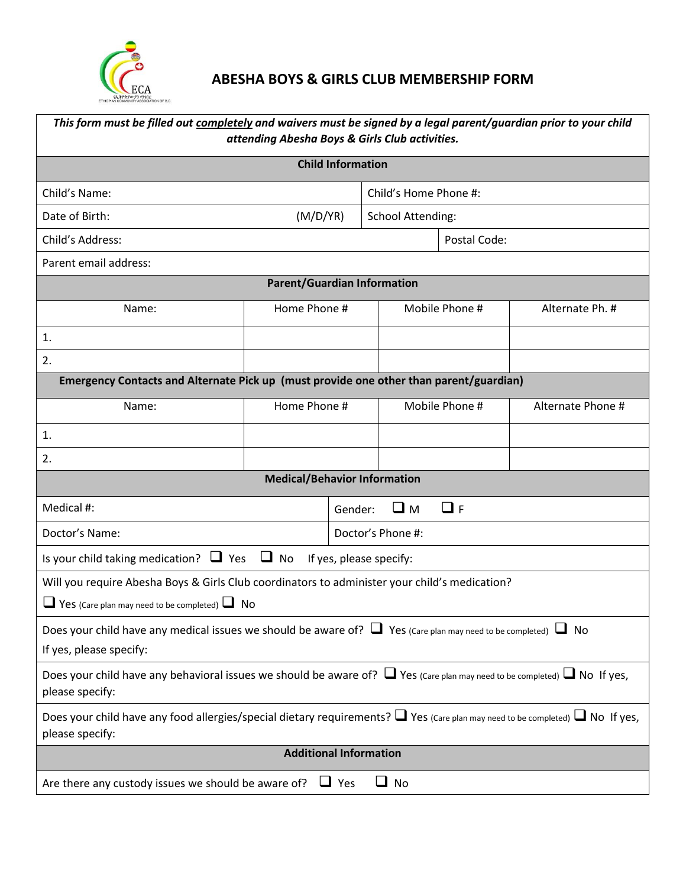

# **ABESHA BOYS & GIRLS CLUB MEMBERSHIP FORM**

| This form must be filled out completely and waivers must be signed by a legal parent/guardian prior to your child<br>attending Abesha Boys & Girls Club activities. |              |  |                           |                |  |                   |  |
|---------------------------------------------------------------------------------------------------------------------------------------------------------------------|--------------|--|---------------------------|----------------|--|-------------------|--|
| <b>Child Information</b>                                                                                                                                            |              |  |                           |                |  |                   |  |
| Child's Name:                                                                                                                                                       |              |  | Child's Home Phone #:     |                |  |                   |  |
| (M/D/YR)<br>Date of Birth:                                                                                                                                          |              |  | <b>School Attending:</b>  |                |  |                   |  |
| Child's Address:                                                                                                                                                    |              |  | Postal Code:              |                |  |                   |  |
| Parent email address:                                                                                                                                               |              |  |                           |                |  |                   |  |
| <b>Parent/Guardian Information</b>                                                                                                                                  |              |  |                           |                |  |                   |  |
| Name:                                                                                                                                                               | Home Phone # |  |                           | Mobile Phone # |  | Alternate Ph. #   |  |
| 1.                                                                                                                                                                  |              |  |                           |                |  |                   |  |
| 2.                                                                                                                                                                  |              |  |                           |                |  |                   |  |
| Emergency Contacts and Alternate Pick up (must provide one other than parent/guardian)                                                                              |              |  |                           |                |  |                   |  |
| Name:                                                                                                                                                               | Home Phone # |  |                           | Mobile Phone # |  | Alternate Phone # |  |
| 1.                                                                                                                                                                  |              |  |                           |                |  |                   |  |
| 2.                                                                                                                                                                  |              |  |                           |                |  |                   |  |
| <b>Medical/Behavior Information</b>                                                                                                                                 |              |  |                           |                |  |                   |  |
| Medical #:                                                                                                                                                          |              |  | $\Box$ F<br>⊔м<br>Gender: |                |  |                   |  |
| Doctor's Name:                                                                                                                                                      |              |  | Doctor's Phone #:         |                |  |                   |  |
| Is your child taking medication? $\Box$ Yes $\Box$ No<br>If yes, please specify:                                                                                    |              |  |                           |                |  |                   |  |
| Will you require Abesha Boys & Girls Club coordinators to administer your child's medication?<br>$\Box$ Yes (Care plan may need to be completed) $\Box$ No          |              |  |                           |                |  |                   |  |
| Does your child have any medical issues we should be aware of? $\Box$ Yes (Care plan may need to be completed) $\Box$ No<br>If yes, please specify:                 |              |  |                           |                |  |                   |  |
| Does your child have any behavioral issues we should be aware of? $\Box$ Yes (care plan may need to be completed) $\Box$ No If yes,<br>please specify:              |              |  |                           |                |  |                   |  |
| Does your child have any food allergies/special dietary requirements? $\Box$ Yes (care plan may need to be completed) $\Box$ No If yes,<br>please specify:          |              |  |                           |                |  |                   |  |
| <b>Additional Information</b>                                                                                                                                       |              |  |                           |                |  |                   |  |
| Are there any custody issues we should be aware of?<br>$\Box$ No<br>$\Box$ Yes                                                                                      |              |  |                           |                |  |                   |  |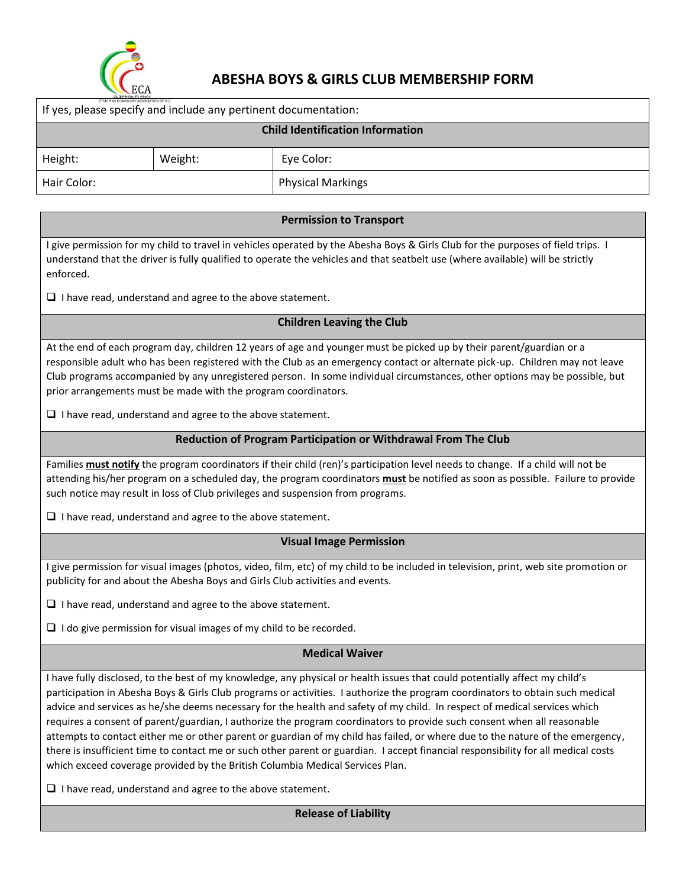

# **ABESHA BOYS & GIRLS CLUB MEMBERSHIP FORM**

| ETHIOPIAN COMMUNITY ASSOCIATION OF B.C.<br>If yes, please specify and include any pertinent documentation: |         |                          |  |  |  |  |
|------------------------------------------------------------------------------------------------------------|---------|--------------------------|--|--|--|--|
| <b>Child Identification Information</b>                                                                    |         |                          |  |  |  |  |
| Height:                                                                                                    | Weight: | Eye Color:               |  |  |  |  |
| Hair Color:                                                                                                |         | <b>Physical Markings</b> |  |  |  |  |

#### **Permission to Transport**

I give permission for my child to travel in vehicles operated by the Abesha Boys & Girls Club for the purposes of field trips. I understand that the driver is fully qualified to operate the vehicles and that seatbelt use (where available) will be strictly enforced.

 $\Box$  I have read, understand and agree to the above statement.

#### **Children Leaving the Club**

At the end of each program day, children 12 years of age and younger must be picked up by their parent/guardian or a responsible adult who has been registered with the Club as an emergency contact or alternate pick-up. Children may not leave Club programs accompanied by any unregistered person. In some individual circumstances, other options may be possible, but prior arrangements must be made with the program coordinators.

 $\Box$  I have read, understand and agree to the above statement.

#### **Reduction of Program Participation or Withdrawal From The Club**

Families **must notify** the program coordinators if their child (ren)'s participation level needs to change. If a child will not be attending his/her program on a scheduled day, the program coordinators **must** be notified as soon as possible. Failure to provide such notice may result in loss of Club privileges and suspension from programs.

 $\Box$  I have read, understand and agree to the above statement.

#### **Visual Image Permission**

I give permission for visual images (photos, video, film, etc) of my child to be included in television, print, web site promotion or publicity for and about the Abesha Boys and Girls Club activities and events.

 $\Box$  I have read, understand and agree to the above statement.

 $\Box$  I do give permission for visual images of my child to be recorded.

#### **Medical Waiver**

I have fully disclosed, to the best of my knowledge, any physical or health issues that could potentially affect my child's participation in Abesha Boys & Girls Club programs or activities. I authorize the program coordinators to obtain such medical advice and services as he/she deems necessary for the health and safety of my child. In respect of medical services which requires a consent of parent/guardian, I authorize the program coordinators to provide such consent when all reasonable attempts to contact either me or other parent or guardian of my child has failed, or where due to the nature of the emergency, there is insufficient time to contact me or such other parent or guardian. I accept financial responsibility for all medical costs which exceed coverage provided by the British Columbia Medical Services Plan.

 $\Box$  I have read, understand and agree to the above statement.

**Release of Liability**